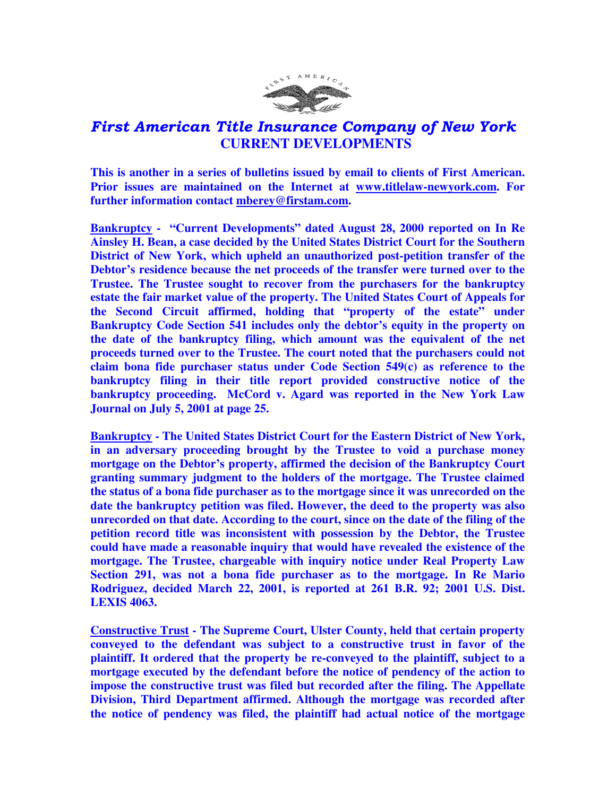

## First American Title Insurance Company of New York  **CURRENT DEVELOPMENTS**

**This is another in a series of bulletins issued by email to clients of First American. Prior issues are maintained on the Internet at www.titlelaw-newyork.com. For further information contact mberey@firstam.com.** 

**Bankruptcy - "Current Developments" dated August 28, 2000 reported on In Re Ainsley H. Bean, a case decided by the United States District Court for the Southern District of New York, which upheld an unauthorized post-petition transfer of the Debtor's residence because the net proceeds of the transfer were turned over to the Trustee. The Trustee sought to recover from the purchasers for the bankruptcy estate the fair market value of the property. The United States Court of Appeals for the Second Circuit affirmed, holding that "property of the estate" under Bankruptcy Code Section 541 includes only the debtor's equity in the property on the date of the bankruptcy filing, which amount was the equivalent of the net proceeds turned over to the Trustee. The court noted that the purchasers could not claim bona fide purchaser status under Code Section 549(c) as reference to the bankruptcy filing in their title report provided constructive notice of the bankruptcy proceeding. McCord v. Agard was reported in the New York Law Journal on July 5, 2001 at page 25.** 

**Bankruptcy - The United States District Court for the Eastern District of New York, in an adversary proceeding brought by the Trustee to void a purchase money mortgage on the Debtor's property, affirmed the decision of the Bankruptcy Court granting summary judgment to the holders of the mortgage. The Trustee claimed the status of a bona fide purchaser as to the mortgage since it was unrecorded on the date the bankruptcy petition was filed. However, the deed to the property was also unrecorded on that date. According to the court, since on the date of the filing of the petition record title was inconsistent with possession by the Debtor, the Trustee could have made a reasonable inquiry that would have revealed the existence of the mortgage. The Trustee, chargeable with inquiry notice under Real Property Law Section 291, was not a bona fide purchaser as to the mortgage. In Re Mario Rodriguez, decided March 22, 2001, is reported at 261 B.R. 92; 2001 U.S. Dist. LEXIS 4063.** 

**Constructive Trust - The Supreme Court, Ulster County, held that certain property conveyed to the defendant was subject to a constructive trust in favor of the plaintiff. It ordered that the property be re-conveyed to the plaintiff, subject to a mortgage executed by the defendant before the notice of pendency of the action to impose the constructive trust was filed but recorded after the filing. The Appellate Division, Third Department affirmed. Although the mortgage was recorded after the notice of pendency was filed, the plaintiff had actual notice of the mortgage**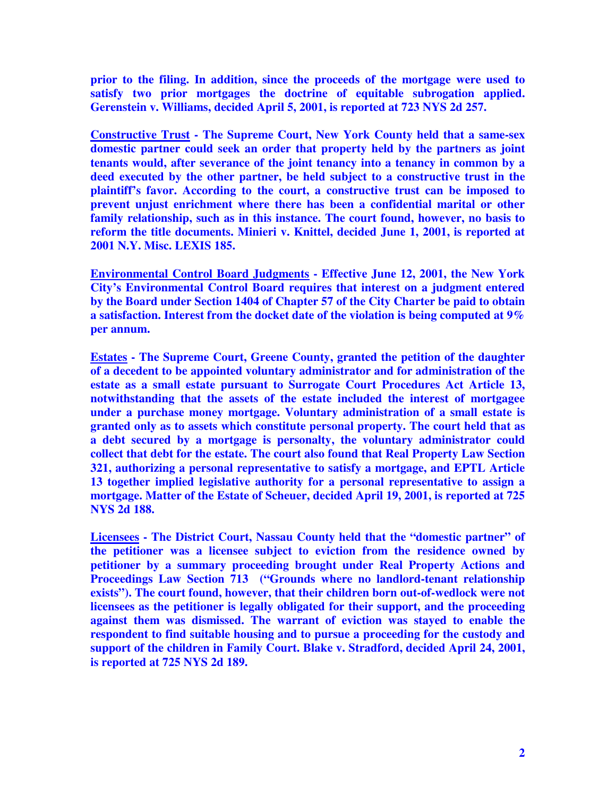**prior to the filing. In addition, since the proceeds of the mortgage were used to satisfy two prior mortgages the doctrine of equitable subrogation applied. Gerenstein v. Williams, decided April 5, 2001, is reported at 723 NYS 2d 257.** 

**Constructive Trust - The Supreme Court, New York County held that a same-sex domestic partner could seek an order that property held by the partners as joint tenants would, after severance of the joint tenancy into a tenancy in common by a deed executed by the other partner, be held subject to a constructive trust in the plaintiff's favor. According to the court, a constructive trust can be imposed to prevent unjust enrichment where there has been a confidential marital or other family relationship, such as in this instance. The court found, however, no basis to reform the title documents. Minieri v. Knittel, decided June 1, 2001, is reported at 2001 N.Y. Misc. LEXIS 185.** 

**Environmental Control Board Judgments - Effective June 12, 2001, the New York City's Environmental Control Board requires that interest on a judgment entered by the Board under Section 1404 of Chapter 57 of the City Charter be paid to obtain a satisfaction. Interest from the docket date of the violation is being computed at 9% per annum.** 

**Estates - The Supreme Court, Greene County, granted the petition of the daughter of a decedent to be appointed voluntary administrator and for administration of the estate as a small estate pursuant to Surrogate Court Procedures Act Article 13, notwithstanding that the assets of the estate included the interest of mortgagee under a purchase money mortgage. Voluntary administration of a small estate is granted only as to assets which constitute personal property. The court held that as a debt secured by a mortgage is personalty, the voluntary administrator could collect that debt for the estate. The court also found that Real Property Law Section 321, authorizing a personal representative to satisfy a mortgage, and EPTL Article 13 together implied legislative authority for a personal representative to assign a mortgage. Matter of the Estate of Scheuer, decided April 19, 2001, is reported at 725 NYS 2d 188.** 

**Licensees - The District Court, Nassau County held that the "domestic partner" of the petitioner was a licensee subject to eviction from the residence owned by petitioner by a summary proceeding brought under Real Property Actions and Proceedings Law Section 713 ("Grounds where no landlord-tenant relationship exists"). The court found, however, that their children born out-of-wedlock were not licensees as the petitioner is legally obligated for their support, and the proceeding against them was dismissed. The warrant of eviction was stayed to enable the respondent to find suitable housing and to pursue a proceeding for the custody and support of the children in Family Court. Blake v. Stradford, decided April 24, 2001, is reported at 725 NYS 2d 189.**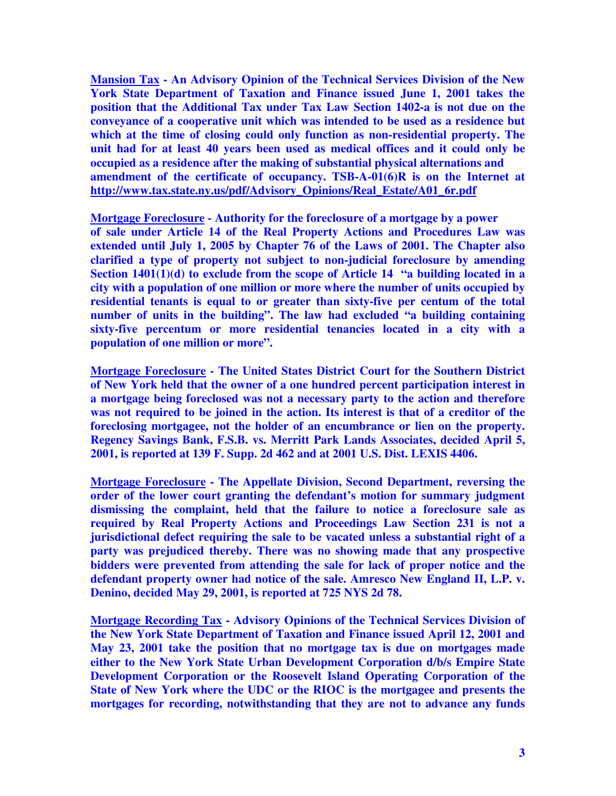**Mansion Tax - An Advisory Opinion of the Technical Services Division of the New York State Department of Taxation and Finance issued June 1, 2001 takes the position that the Additional Tax under Tax Law Section 1402-a is not due on the conveyance of a cooperative unit which was intended to be used as a residence but which at the time of closing could only function as non-residential property. The unit had for at least 40 years been used as medical offices and it could only be occupied as a residence after the making of substantial physical alternations and amendment of the certificate of occupancy. TSB-A-01(6)R is on the Internet at http://www.tax.state.ny.us/pdf/Advisory\_Opinions/Real\_Estate/A01\_6r.pdf**

**Mortgage Foreclosure - Authority for the foreclosure of a mortgage by a power of sale under Article 14 of the Real Property Actions and Procedures Law was extended until July 1, 2005 by Chapter 76 of the Laws of 2001. The Chapter also clarified a type of property not subject to non-judicial foreclosure by amending Section 1401(1)(d) to exclude from the scope of Article 14 "a building located in a city with a population of one million or more where the number of units occupied by residential tenants is equal to or greater than sixty-five per centum of the total number of units in the building". The law had excluded "a building containing sixty-five percentum or more residential tenancies located in a city with a population of one million or more".** 

**Mortgage Foreclosure - The United States District Court for the Southern District of New York held that the owner of a one hundred percent participation interest in a mortgage being foreclosed was not a necessary party to the action and therefore was not required to be joined in the action. Its interest is that of a creditor of the foreclosing mortgagee, not the holder of an encumbrance or lien on the property. Regency Savings Bank, F.S.B. vs. Merritt Park Lands Associates, decided April 5, 2001, is reported at 139 F. Supp. 2d 462 and at 2001 U.S. Dist. LEXIS 4406.** 

**Mortgage Foreclosure - The Appellate Division, Second Department, reversing the order of the lower court granting the defendant's motion for summary judgment dismissing the complaint, held that the failure to notice a foreclosure sale as required by Real Property Actions and Proceedings Law Section 231 is not a jurisdictional defect requiring the sale to be vacated unless a substantial right of a party was prejudiced thereby. There was no showing made that any prospective bidders were prevented from attending the sale for lack of proper notice and the defendant property owner had notice of the sale. Amresco New England II, L.P. v. Denino, decided May 29, 2001, is reported at 725 NYS 2d 78.** 

**Mortgage Recording Tax - Advisory Opinions of the Technical Services Division of the New York State Department of Taxation and Finance issued April 12, 2001 and May 23, 2001 take the position that no mortgage tax is due on mortgages made either to the New York State Urban Development Corporation d/b/s Empire State Development Corporation or the Roosevelt Island Operating Corporation of the State of New York where the UDC or the RIOC is the mortgagee and presents the mortgages for recording, notwithstanding that they are not to advance any funds**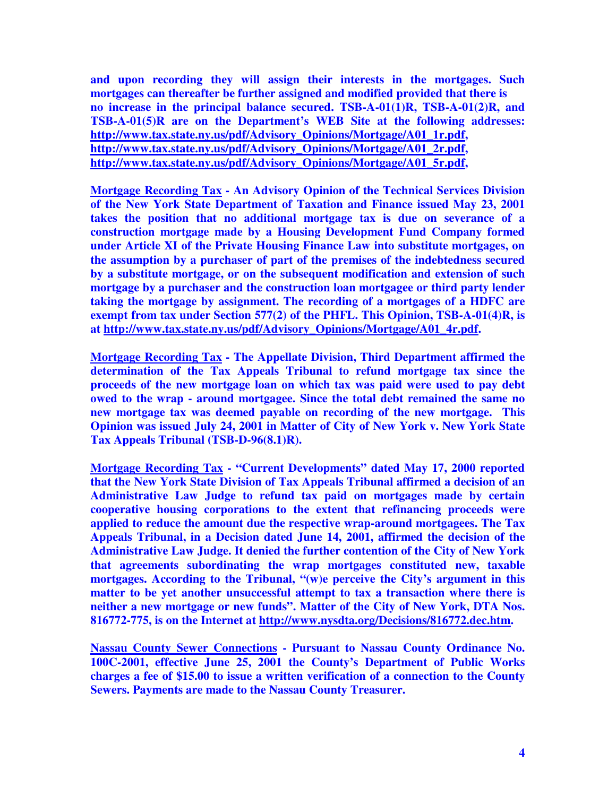**and upon recording they will assign their interests in the mortgages. Such mortgages can thereafter be further assigned and modified provided that there is no increase in the principal balance secured. TSB-A-01(1)R, TSB-A-01(2)R, and TSB-A-01(5)R are on the Department's WEB Site at the following addresses: http://www.tax.state.ny.us/pdf/Advisory\_Opinions/Mortgage/A01\_1r.pdf, http://www.tax.state.ny.us/pdf/Advisory\_Opinions/Mortgage/A01\_2r.pdf, http://www.tax.state.ny.us/pdf/Advisory\_Opinions/Mortgage/A01\_5r.pdf,** 

**Mortgage Recording Tax - An Advisory Opinion of the Technical Services Division of the New York State Department of Taxation and Finance issued May 23, 2001 takes the position that no additional mortgage tax is due on severance of a construction mortgage made by a Housing Development Fund Company formed under Article XI of the Private Housing Finance Law into substitute mortgages, on the assumption by a purchaser of part of the premises of the indebtedness secured by a substitute mortgage, or on the subsequent modification and extension of such mortgage by a purchaser and the construction loan mortgagee or third party lender taking the mortgage by assignment. The recording of a mortgages of a HDFC are exempt from tax under Section 577(2) of the PHFL. This Opinion, TSB-A-01(4)R, is at http://www.tax.state.ny.us/pdf/Advisory\_Opinions/Mortgage/A01\_4r.pdf.** 

**Mortgage Recording Tax - The Appellate Division, Third Department affirmed the determination of the Tax Appeals Tribunal to refund mortgage tax since the proceeds of the new mortgage loan on which tax was paid were used to pay debt owed to the wrap - around mortgagee. Since the total debt remained the same no new mortgage tax was deemed payable on recording of the new mortgage. This Opinion was issued July 24, 2001 in Matter of City of New York v. New York State Tax Appeals Tribunal (TSB-D-96(8.1)R).** 

**Mortgage Recording Tax - "Current Developments" dated May 17, 2000 reported that the New York State Division of Tax Appeals Tribunal affirmed a decision of an Administrative Law Judge to refund tax paid on mortgages made by certain cooperative housing corporations to the extent that refinancing proceeds were applied to reduce the amount due the respective wrap-around mortgagees. The Tax Appeals Tribunal, in a Decision dated June 14, 2001, affirmed the decision of the Administrative Law Judge. It denied the further contention of the City of New York that agreements subordinating the wrap mortgages constituted new, taxable mortgages. According to the Tribunal, "(w)e perceive the City's argument in this matter to be yet another unsuccessful attempt to tax a transaction where there is neither a new mortgage or new funds". Matter of the City of New York, DTA Nos. 816772-775, is on the Internet at http://www.nysdta.org/Decisions/816772.dec.htm.** 

**Nassau County Sewer Connections - Pursuant to Nassau County Ordinance No. 100C-2001, effective June 25, 2001 the County's Department of Public Works charges a fee of \$15.00 to issue a written verification of a connection to the County Sewers. Payments are made to the Nassau County Treasurer.**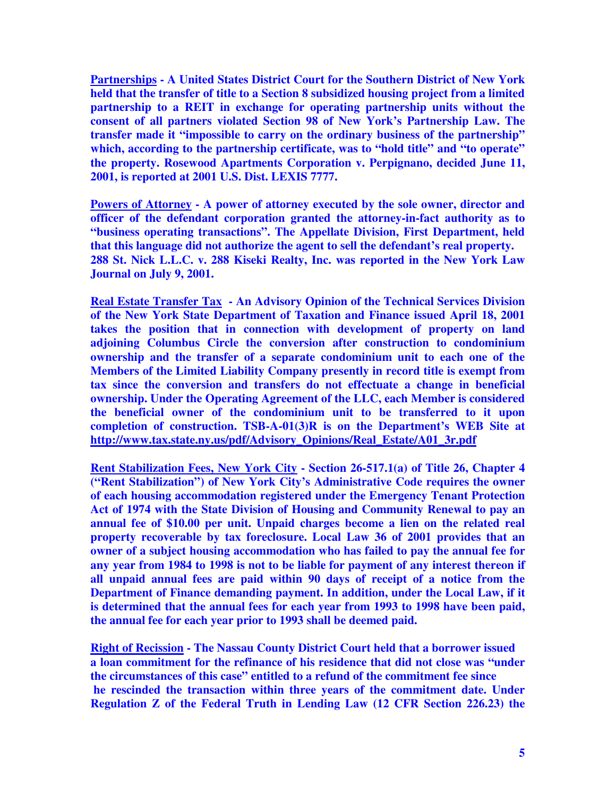**Partnerships - A United States District Court for the Southern District of New York held that the transfer of title to a Section 8 subsidized housing project from a limited partnership to a REIT in exchange for operating partnership units without the consent of all partners violated Section 98 of New York's Partnership Law. The transfer made it "impossible to carry on the ordinary business of the partnership" which, according to the partnership certificate, was to "hold title" and "to operate" the property. Rosewood Apartments Corporation v. Perpignano, decided June 11, 2001, is reported at 2001 U.S. Dist. LEXIS 7777.** 

**Powers of Attorney - A power of attorney executed by the sole owner, director and officer of the defendant corporation granted the attorney-in-fact authority as to "business operating transactions". The Appellate Division, First Department, held that this language did not authorize the agent to sell the defendant's real property. 288 St. Nick L.L.C. v. 288 Kiseki Realty, Inc. was reported in the New York Law Journal on July 9, 2001.** 

**Real Estate Transfer Tax - An Advisory Opinion of the Technical Services Division of the New York State Department of Taxation and Finance issued April 18, 2001 takes the position that in connection with development of property on land adjoining Columbus Circle the conversion after construction to condominium ownership and the transfer of a separate condominium unit to each one of the Members of the Limited Liability Company presently in record title is exempt from tax since the conversion and transfers do not effectuate a change in beneficial ownership. Under the Operating Agreement of the LLC, each Member is considered the beneficial owner of the condominium unit to be transferred to it upon completion of construction. TSB-A-01(3)R is on the Department's WEB Site at http://www.tax.state.ny.us/pdf/Advisory\_Opinions/Real\_Estate/A01\_3r.pdf**

**Rent Stabilization Fees, New York City - Section 26-517.1(a) of Title 26, Chapter 4 ("Rent Stabilization") of New York City's Administrative Code requires the owner of each housing accommodation registered under the Emergency Tenant Protection Act of 1974 with the State Division of Housing and Community Renewal to pay an annual fee of \$10.00 per unit. Unpaid charges become a lien on the related real property recoverable by tax foreclosure. Local Law 36 of 2001 provides that an owner of a subject housing accommodation who has failed to pay the annual fee for any year from 1984 to 1998 is not to be liable for payment of any interest thereon if all unpaid annual fees are paid within 90 days of receipt of a notice from the Department of Finance demanding payment. In addition, under the Local Law, if it is determined that the annual fees for each year from 1993 to 1998 have been paid, the annual fee for each year prior to 1993 shall be deemed paid.** 

**Right of Recission - The Nassau County District Court held that a borrower issued a loan commitment for the refinance of his residence that did not close was "under the circumstances of this case" entitled to a refund of the commitment fee since he rescinded the transaction within three years of the commitment date. Under Regulation Z of the Federal Truth in Lending Law (12 CFR Section 226.23) the**